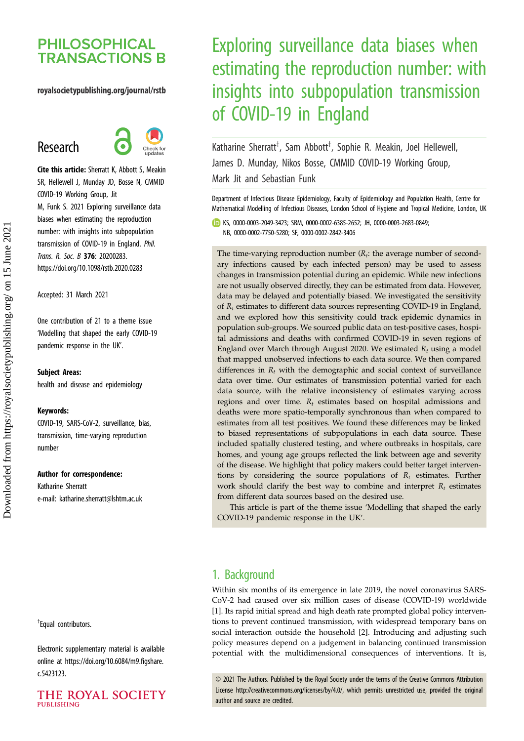## **PHILOSOPHICAL TRANSACTIONS B**

## royalsocietypublishing.org/journal/rstb

# Research



Cite this article: Sherratt K, Abbott S, Meakin SR, Hellewell J, Munday JD, Bosse N, CMMID COVID-19 Working Group, Jit M, Funk S. 2021 Exploring surveillance data biases when estimating the reproduction number: with insights into subpopulation transmission of COVID-19 in England. Phil. Trans. R. Soc. B 376: 20200283. https://doi.org/10.1098/rstb.2020.0283

Accepted: 31 March 2021

One contribution of 21 to a theme issue '[Modelling that shaped the early COVID-19](http://dx.doi.org/10.1098/rstb/376/1829) [pandemic response in the UK](http://dx.doi.org/10.1098/rstb/376/1829)'.

#### Subject Areas:

health and disease and epidemiology

#### Keywords:

COVID-19, SARS-CoV-2, surveillance, bias, transmission, time-varying reproduction number

#### Author for correspondence:

Katharine Sherratt e-mail: [katharine.sherratt@lshtm.ac.uk](mailto:katharine.sherratt@lshtm.ac.uk)

† Equal contributors.

Electronic supplementary material is available online at [https://doi.org/10.6084/m9.figshare.](https://doi.org/10.6084/m9.figshare.c.5423123) [c.5423123.](https://doi.org/10.6084/m9.figshare.c.5423123)

## THE ROYAL SOCIETY PURLISHING

# Exploring surveillance data biases when estimating the reproduction number: with insights into subpopulation transmission of COVID-19 in England

Katharine Sherratt<sup>†</sup>, Sam Abbott<sup>†</sup>, Sophie R. Meakin, Joel Hellewell, James D. Munday, Nikos Bosse, CMMID COVID-19 Working Group, Mark Jit and Sebastian Funk

Department of Infectious Disease Epidemiology, Faculty of Epidemiology and Population Health, Centre for Mathematical Modelling of Infectious Diseases, London School of Hygiene and Tropical Medicine, London, UK

KS, [0000-0003-2049-3423](http://orcid.org/0000-0003-2049-3423); SRM, [0000-0002-6385-2652](http://orcid.org/0000-0002-6385-2652); JH, [0000-0003-2683-0849](http://orcid.org/0000-0003-2683-0849); NB, [0000-0002-7750-5280](http://orcid.org/0000-0002-7750-5280); SF, [0000-0002-2842-3406](http://orcid.org/0000-0002-2842-3406)

The time-varying reproduction number  $(R_t:$  the average number of secondary infections caused by each infected person) may be used to assess changes in transmission potential during an epidemic. While new infections are not usually observed directly, they can be estimated from data. However, data may be delayed and potentially biased. We investigated the sensitivity of  $R_t$  estimates to different data sources representing COVID-19 in England, and we explored how this sensitivity could track epidemic dynamics in population sub-groups. We sourced public data on test-positive cases, hospital admissions and deaths with confirmed COVID-19 in seven regions of England over March through August 2020. We estimated  $R_t$  using a model that mapped unobserved infections to each data source. We then compared differences in  $R_t$  with the demographic and social context of surveillance data over time. Our estimates of transmission potential varied for each data source, with the relative inconsistency of estimates varying across regions and over time.  $R_t$  estimates based on hospital admissions and deaths were more spatio-temporally synchronous than when compared to estimates from all test positives. We found these differences may be linked to biased representations of subpopulations in each data source. These included spatially clustered testing, and where outbreaks in hospitals, care homes, and young age groups reflected the link between age and severity of the disease. We highlight that policy makers could better target interventions by considering the source populations of  $R_t$  estimates. Further work should clarify the best way to combine and interpret  $R_t$  estimates from different data sources based on the desired use.

This article is part of the theme issue 'Modelling that shaped the early COVID-19 pandemic response in the UK'.

## 1. Background

Within six months of its emergence in late 2019, the novel coronavirus SARS-CoV-2 had caused over six million cases of disease (COVID-19) worldwide [[1](#page-8-0)]. Its rapid initial spread and high death rate prompted global policy interventions to prevent continued transmission, with widespread temporary bans on social interaction outside the household [[2](#page-8-0)]. Introducing and adjusting such policy measures depend on a judgement in balancing continued transmission potential with the multidimensional consequences of interventions. It is,

© 2021 The Authors. Published by the Royal Society under the terms of the Creative Commons Attribution License<http://creativecommons.org/licenses/by/4.0/>, which permits unrestricted use, provided the original author and source are credited.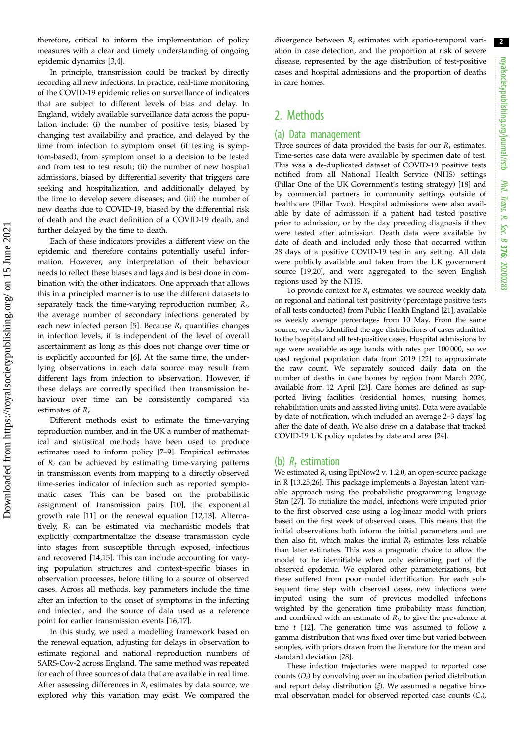therefore, critical to inform the implementation of policy measures with a clear and timely understanding of ongoing epidemic dynamics [[3,4\]](#page-8-0).

In principle, transmission could be tracked by directly recording all new infections. In practice, real-time monitoring of the COVID-19 epidemic relies on surveillance of indicators that are subject to different levels of bias and delay. In England, widely available surveillance data across the population include: (i) the number of positive tests, biased by changing test availability and practice, and delayed by the time from infection to symptom onset (if testing is symptom-based), from symptom onset to a decision to be tested and from test to test result; (ii) the number of new hospital admissions, biased by differential severity that triggers care seeking and hospitalization, and additionally delayed by the time to develop severe diseases; and (iii) the number of new deaths due to COVID-19, biased by the differential risk of death and the exact definition of a COVID-19 death, and further delayed by the time to death.

Each of these indicators provides a different view on the epidemic and therefore contains potentially useful information. However, any interpretation of their behaviour needs to reflect these biases and lags and is best done in combination with the other indicators. One approach that allows this in a principled manner is to use the different datasets to separately track the time-varying reproduction number,  $R_t$ , the average number of secondary infections generated by each new infected person [[5](#page-8-0)]. Because  $R_t$  quantifies changes in infection levels, it is independent of the level of overall ascertainment as long as this does not change over time or is explicitly accounted for [\[6\]](#page-8-0). At the same time, the underlying observations in each data source may result from different lags from infection to observation. However, if these delays are correctly specified then transmission behaviour over time can be consistently compared via estimates of  $R_t$ .

Different methods exist to estimate the time-varying reproduction number, and in the UK a number of mathematical and statistical methods have been used to produce estimates used to inform policy [\[7](#page-8-0)–[9\]](#page-8-0). Empirical estimates of  $R_t$  can be achieved by estimating time-varying patterns in transmission events from mapping to a directly observed time-series indicator of infection such as reported symptomatic cases. This can be based on the probabilistic assignment of transmission pairs [[10\]](#page-8-0), the exponential growth rate [[11](#page-8-0)] or the renewal equation [[12,13](#page-8-0)]. Alternatively,  $R_t$  can be estimated via mechanistic models that explicitly compartmentalize the disease transmission cycle into stages from susceptible through exposed, infectious and recovered [[14,15](#page-8-0)]. This can include accounting for varying population structures and context-specific biases in observation processes, before fitting to a source of observed cases. Across all methods, key parameters include the time after an infection to the onset of symptoms in the infecting and infected, and the source of data used as a reference point for earlier transmission events [\[16](#page-8-0),[17\]](#page-8-0).

In this study, we used a modelling framework based on the renewal equation, adjusting for delays in observation to estimate regional and national reproduction numbers of SARS-Cov-2 across England. The same method was repeated for each of three sources of data that are available in real time. After assessing differences in  $R_t$  estimates by data source, we explored why this variation may exist. We compared the divergence between  $R_t$  estimates with spatio-temporal variation in case detection, and the proportion at risk of severe disease, represented by the age distribution of test-positive cases and hospital admissions and the proportion of deaths in care homes.

## 2. Methods

## (a) Data management

Three sources of data provided the basis for our  $R_t$  estimates. Time-series case data were available by specimen date of test. This was a de-duplicated dataset of COVID-19 positive tests notified from all National Health Service (NHS) settings (Pillar One of the UK Government's testing strategy) [[18](#page-8-0)] and by commercial partners in community settings outside of healthcare (Pillar Two). Hospital admissions were also available by date of admission if a patient had tested positive prior to admission, or by the day preceding diagnosis if they were tested after admission. Death data were available by date of death and included only those that occurred within 28 days of a positive COVID-19 test in any setting. All data were publicly available and taken from the UK government source [[19](#page-8-0),[20](#page-8-0)], and were aggregated to the seven English regions used by the NHS.

To provide context for  $R_t$  estimates, we sourced weekly data on regional and national test positivity (percentage positive tests of all tests conducted) from Public Health England [\[21\]](#page-8-0), available as weekly average percentages from 10 May. From the same source, we also identified the age distributions of cases admitted to the hospital and all test-positive cases. Hospital admissions by age were available as age bands with rates per 100 000, so we used regional population data from 2019 [[22](#page-8-0)] to approximate the raw count. We separately sourced daily data on the number of deaths in care homes by region from March 2020, available from 12 April [[23](#page-8-0)]. Care homes are defined as supported living facilities (residential homes, nursing homes, rehabilitation units and assisted living units). Data were available by date of notification, which included an average 2–3 days' lag after the date of death. We also drew on a database that tracked COVID-19 UK policy updates by date and area [\[24\]](#page-8-0).

#### (b)  $R_t$  estimation

We estimated  $R_t$  using EpiNow2 v. 1.2.0, an open-source package in R [\[13,25,26\]](#page-8-0). This package implements a Bayesian latent variable approach using the probabilistic programming language Stan [[27](#page-8-0)]. To initialize the model, infections were imputed prior to the first observed case using a log-linear model with priors based on the first week of observed cases. This means that the initial observations both inform the initial parameters and are then also fit, which makes the initial  $R_t$  estimates less reliable than later estimates. This was a pragmatic choice to allow the model to be identifiable when only estimating part of the observed epidemic. We explored other parameterizations, but these suffered from poor model identification. For each subsequent time step with observed cases, new infections were imputed using the sum of previous modelled infections weighted by the generation time probability mass function, and combined with an estimate of  $R_t$ , to give the prevalence at time  $t$  [[12](#page-8-0)]. The generation time was assumed to follow a gamma distribution that was fixed over time but varied between samples, with priors drawn from the literature for the mean and standard deviation [\[28\]](#page-8-0).

These infection trajectories were mapped to reported case counts  $(D_t)$  by convolving over an incubation period distribution and report delay distribution  $(\xi)$ . We assumed a negative binomial observation model for observed reported case counts  $(C_t)$ ,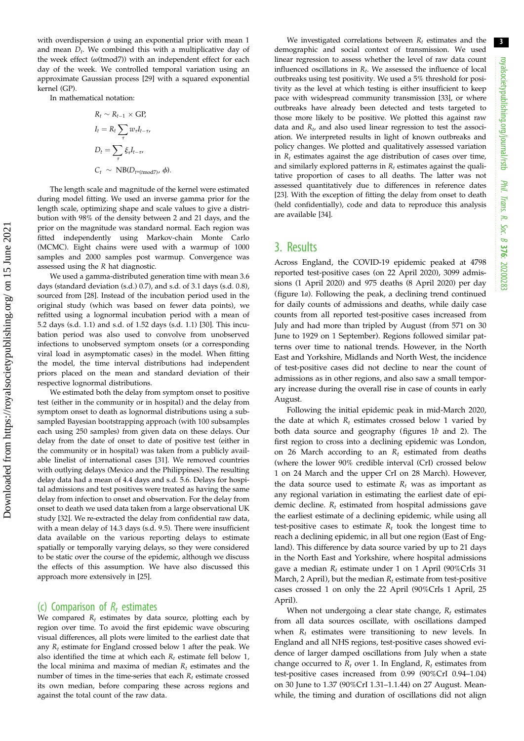3

with overdispersion  $\phi$  using an exponential prior with mean 1 and mean  $D_t$ . We combined this with a multiplicative day of the week effect  $(\omega$ (tmod7)) with an independent effect for each day of the week. We controlled temporal variation using an approximate Gaussian process [\[29\]](#page-8-0) with a squared exponential kernel (GP).

In mathematical notation:

$$
R_t \sim R_{t-1} \times GP,
$$
  
\n
$$
I_t = R_t \sum_{\tau} w_{\tau} I_{t-\tau},
$$
  
\n
$$
D_t = \sum_{\tau} \xi_{\tau} I_{t-\tau},
$$
  
\n
$$
C_t \sim \text{NB}(D_{t^{\omega}(\text{mod}7)}, \phi).
$$

The length scale and magnitude of the kernel were estimated during model fitting. We used an inverse gamma prior for the length scale, optimizing shape and scale values to give a distribution with 98% of the density between 2 and 21 days, and the prior on the magnitude was standard normal. Each region was fitted independently using Markov-chain Monte Carlo (MCMC). Eight chains were used with a warmup of 1000 samples and 2000 samples post warmup. Convergence was assessed using the R hat diagnostic.

We used a gamma-distributed generation time with mean 3.6 days (standard deviation (s.d.) 0.7), and s.d. of 3.1 days (s.d. 0.8), sourced from [[28](#page-8-0)]. Instead of the incubation period used in the original study (which was based on fewer data points), we refitted using a lognormal incubation period with a mean of 5.2 days (s.d. 1.1) and s.d. of 1.52 days (s.d. 1.1) [[30](#page-8-0)]. This incubation period was also used to convolve from unobserved infections to unobserved symptom onsets (or a corresponding viral load in asymptomatic cases) in the model. When fitting the model, the time interval distributions had independent priors placed on the mean and standard deviation of their respective lognormal distributions.

We estimated both the delay from symptom onset to positive test (either in the community or in hospital) and the delay from symptom onset to death as lognormal distributions using a subsampled Bayesian bootstrapping approach (with 100 subsamples each using 250 samples) from given data on these delays. Our delay from the date of onset to date of positive test (either in the community or in hospital) was taken from a publicly available linelist of international cases [\[31\]](#page-8-0). We removed countries with outlying delays (Mexico and the Philippines). The resulting delay data had a mean of 4.4 days and s.d. 5.6. Delays for hospital admissions and test positives were treated as having the same delay from infection to onset and observation. For the delay from onset to death we used data taken from a large observational UK study [[32](#page-8-0)]. We re-extracted the delay from confidential raw data, with a mean delay of 14.3 days (s.d. 9.5). There were insufficient data available on the various reporting delays to estimate spatially or temporally varying delays, so they were considered to be static over the course of the epidemic, although we discuss the effects of this assumption. We have also discussed this approach more extensively in [\[25\]](#page-8-0).

## (c) Comparison of  $R_t$  estimates

We compared  $R_t$  estimates by data source, plotting each by region over time. To avoid the first epidemic wave obscuring visual differences, all plots were limited to the earliest date that any  $R_t$  estimate for England crossed below 1 after the peak. We also identified the time at which each  $R_t$  estimate fell below 1, the local minima and maxima of median  $R_t$  estimates and the number of times in the time-series that each  $R_t$  estimate crossed its own median, before comparing these across regions and against the total count of the raw data.

We investigated correlations between  $R_t$  estimates and the demographic and social context of transmission. We used linear regression to assess whether the level of raw data count influenced oscillations in  $R_t$ . We assessed the influence of local outbreaks using test positivity. We used a 5% threshold for positivity as the level at which testing is either insufficient to keep pace with widespread community transmission [[33](#page-9-0)], or where outbreaks have already been detected and tests targeted to those more likely to be positive. We plotted this against raw data and  $R_t$ , and also used linear regression to test the association. We interpreted results in light of known outbreaks and policy changes. We plotted and qualitatively assessed variation in  $R_t$  estimates against the age distribution of cases over time, and similarly explored patterns in  $R_t$  estimates against the qualitative proportion of cases to all deaths. The latter was not assessed quantitatively due to differences in reference dates [[23](#page-8-0)]. With the exception of fitting the delay from onset to death (held confidentially), code and data to reproduce this analysis are available [[34](#page-9-0)].

## 3. Results

Across England, the COVID-19 epidemic peaked at 4798 reported test-positive cases (on 22 April 2020), 3099 admissions (1 April 2020) and 975 deaths (8 April 2020) per day ([figure 1](#page-3-0)a). Following the peak, a declining trend continued for daily counts of admissions and deaths, while daily case counts from all reported test-positive cases increased from July and had more than tripled by August (from 571 on 30 June to 1929 on 1 September). Regions followed similar patterns over time to national trends. However, in the North East and Yorkshire, Midlands and North West, the incidence of test-positive cases did not decline to near the count of admissions as in other regions, and also saw a small temporary increase during the overall rise in case of counts in early August.

Following the initial epidemic peak in mid-March 2020, the date at which  $R_t$  estimates crossed below 1 varied by both data source and geography (figures [1](#page-3-0)b and [2\)](#page-4-0). The first region to cross into a declining epidemic was London, on 26 March according to an  $R_t$  estimated from deaths (where the lower 90% credible interval (CrI) crossed below 1 on 24 March and the upper CrI on 28 March). However, the data source used to estimate  $R_t$  was as important as any regional variation in estimating the earliest date of epidemic decline.  $R_t$  estimated from hospital admissions gave the earliest estimate of a declining epidemic, while using all test-positive cases to estimate  $R_t$  took the longest time to reach a declining epidemic, in all but one region (East of England). This difference by data source varied by up to 21 days in the North East and Yorkshire, where hospital admissions gave a median  $R_t$  estimate under 1 on 1 April (90%CrIs 31 March, 2 April), but the median  $R_t$  estimate from test-positive cases crossed 1 on only the 22 April (90%CrIs 1 April, 25 April).

When not undergoing a clear state change,  $R_t$  estimates from all data sources oscillate, with oscillations damped when  $R_t$  estimates were transitioning to new levels. In England and all NHS regions, test-positive cases showed evidence of larger damped oscillations from July when a state change occurred to  $R_t$  over 1. In England,  $R_t$  estimates from test-positive cases increased from 0.99 (90%CrI 0.94–1.04) on 30 June to 1.37 (90%CrI 1.31–1.1.44) on 27 August. Meanwhile, the timing and duration of oscillations did not align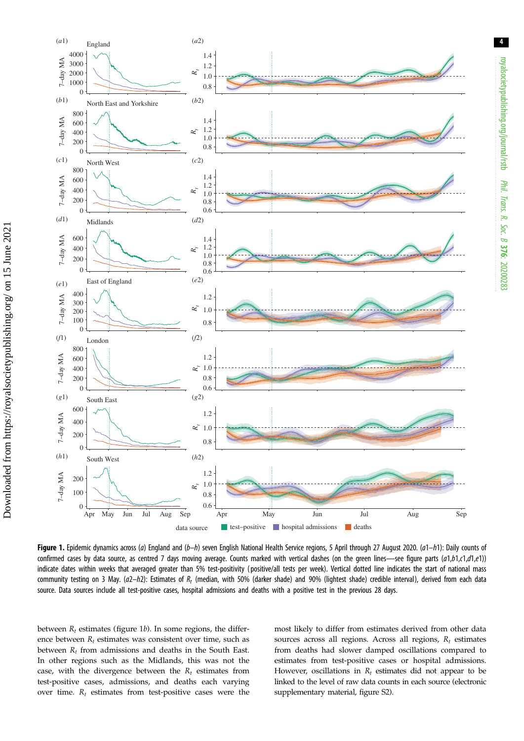<span id="page-3-0"></span>

Figure 1. Epidemic dynamics across (a) England and (b-h) seven English National Health Service regions, 5 April through 27 August 2020. (a1-h1): Daily counts of confirmed cases by data source, as centred 7 days moving average. Counts marked with vertical dashes (on the green lines—see figure parts (a1,b1,c1,d1,e1)) indicate dates within weeks that averaged greater than 5% test-positivity ( positive/all tests per week). Vertical dotted line indicates the start of national mass community testing on 3 May.  $(a2-h2)$ : Estimates of  $R_t$  (median, with 50% (darker shade) and 90% (lightest shade) credible interval), derived from each data source. Data sources include all test-positive cases, hospital admissions and deaths with a positive test in the previous 28 days.

between  $R_t$  estimates (figure 1b). In some regions, the difference between  $R_t$  estimates was consistent over time, such as between  $R_t$  from admissions and deaths in the South East. In other regions such as the Midlands, this was not the case, with the divergence between the  $R_t$  estimates from test-positive cases, admissions, and deaths each varying over time.  $R_t$  estimates from test-positive cases were the most likely to differ from estimates derived from other data sources across all regions. Across all regions,  $R_t$  estimates from deaths had slower damped oscillations compared to estimates from test-positive cases or hospital admissions. However, oscillations in  $R_t$  estimates did not appear to be linked to the level of raw data counts in each source (electronic supplementary material, figure S2).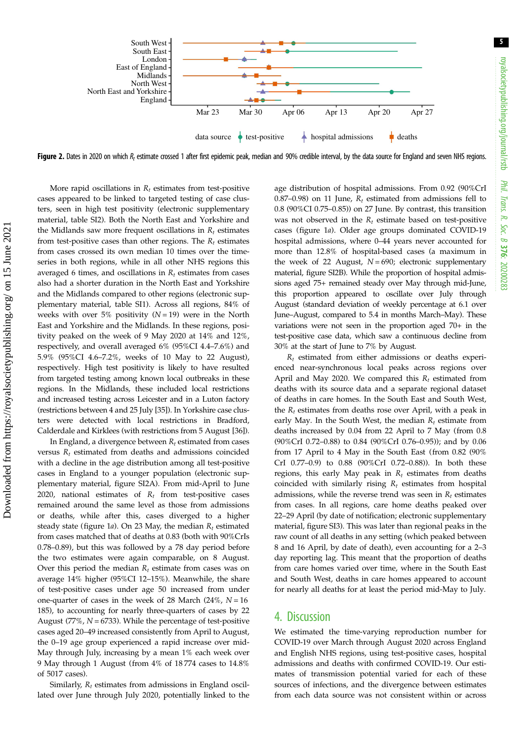<span id="page-4-0"></span>

Figure 2. Dates in 2020 on which  $R_t$  estimate crossed 1 after first epidemic peak, median and 90% credible interval, by the data source for England and seven NHS regions.

More rapid oscillations in  $R_t$  estimates from test-positive cases appeared to be linked to targeted testing of case clusters, seen in high test positivity (electronic supplementary material, table SI2). Both the North East and Yorkshire and the Midlands saw more frequent oscillations in  $R_t$  estimates from test-positive cases than other regions. The  $R_t$  estimates from cases crossed its own median 10 times over the timeseries in both regions, while in all other NHS regions this averaged 6 times, and oscillations in  $R_t$  estimates from cases also had a shorter duration in the North East and Yorkshire and the Midlands compared to other regions (electronic supplementary material, table SI1). Across all regions, 84% of weeks with over 5% positivity  $(N = 19)$  were in the North East and Yorkshire and the Midlands. In these regions, positivity peaked on the week of 9 May 2020 at 14% and 12%, respectively, and overall averaged 6% (95%CI 4.4–7.6%) and 5.9% (95%CI 4.6–7.2%, weeks of 10 May to 22 August), respectively. High test positivity is likely to have resulted from targeted testing among known local outbreaks in these regions. In the Midlands, these included local restrictions and increased testing across Leicester and in a Luton factory (restrictions between 4 and 25 July [[35\]](#page-9-0)). In Yorkshire case clusters were detected with local restrictions in Bradford, Calderdale and Kirklees (with restrictions from 5 August [[36\]](#page-9-0)).

In England, a divergence between  $R_t$  estimated from cases versus  $R_t$  estimated from deaths and admissions coincided with a decline in the age distribution among all test-positive cases in England to a younger population (electronic supplementary material, figure SI2A). From mid-April to June 2020, national estimates of  $R_t$  from test-positive cases remained around the same level as those from admissions or deaths, while after this, cases diverged to a higher steady state ([figure 1](#page-3-0)a). On 23 May, the median  $R_t$  estimated from cases matched that of deaths at 0.83 (both with 90%CrIs 0.78–0.89), but this was followed by a 78 day period before the two estimates were again comparable, on 8 August. Over this period the median  $R_t$  estimate from cases was on average 14% higher (95%CI 12–15%). Meanwhile, the share of test-positive cases under age 50 increased from under one-quarter of cases in the week of 28 March (24%,  $N = 16$ ) 185), to accounting for nearly three-quarters of cases by 22 August (77%,  $N = 6733$ ). While the percentage of test-positive cases aged 20–49 increased consistently from April to August, the 0–19 age group experienced a rapid increase over mid-May through July, increasing by a mean 1% each week over 9 May through 1 August (from 4% of 18 774 cases to 14.8% of 5017 cases).

Similarly,  $R_t$  estimates from admissions in England oscillated over June through July 2020, potentially linked to the age distribution of hospital admissions. From 0.92 (90%CrI 0.87–0.98) on 11 June,  $R_t$  estimated from admissions fell to 0.8 (90%CI 0.75–0.85)) on 27 June. By contrast, this transition was not observed in the  $R_t$  estimate based on test-positive cases ([figure 1](#page-3-0)a). Older age groups dominated COVID-19 hospital admissions, where 0–44 years never accounted for more than 12.8% of hospital-based cases (a maximum in the week of 22 August,  $N = 690$ ; electronic supplementary material, figure SI2B). While the proportion of hospital admissions aged 75+ remained steady over May through mid-June, this proportion appeared to oscillate over July through August (standard deviation of weekly percentage at 6.1 over June–August, compared to 5.4 in months March–May). These variations were not seen in the proportion aged 70+ in the test-positive case data, which saw a continuous decline from 30% at the start of June to 7% by August.

 $R_t$  estimated from either admissions or deaths experienced near-synchronous local peaks across regions over April and May 2020. We compared this  $R_t$  estimated from deaths with its source data and a separate regional dataset of deaths in care homes. In the South East and South West, the  $R_t$  estimates from deaths rose over April, with a peak in early May. In the South West, the median  $R_t$  estimate from deaths increased by 0.04 from 22 April to 7 May (from 0.8 (90%CrI 0.72–0.88) to 0.84 (90%CrI 0.76–0.95)); and by 0.06 from 17 April to 4 May in the South East (from 0.82 (90% CrI 0.77–0.9) to 0.88 (90%CrI 0.72–0.88)). In both these regions, this early May peak in  $R_t$  estimates from deaths coincided with similarly rising  $R_t$  estimates from hospital admissions, while the reverse trend was seen in  $R_t$  estimates from cases. In all regions, care home deaths peaked over 22–29 April (by date of notification; electronic supplementary material, figure SI3). This was later than regional peaks in the raw count of all deaths in any setting (which peaked between 8 and 16 April, by date of death), even accounting for a 2–3 day reporting lag. This meant that the proportion of deaths from care homes varied over time, where in the South East and South West, deaths in care homes appeared to account for nearly all deaths for at least the period mid-May to July.

## 4. Discussion

We estimated the time-varying reproduction number for COVID-19 over March through August 2020 across England and English NHS regions, using test-positive cases, hospital admissions and deaths with confirmed COVID-19. Our estimates of transmission potential varied for each of these sources of infections, and the divergence between estimates from each data source was not consistent within or across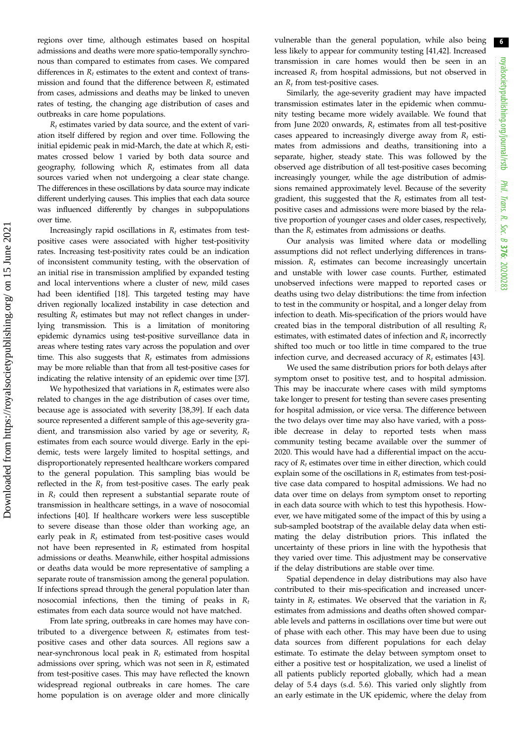regions over time, although estimates based on hospital admissions and deaths were more spatio-temporally synchronous than compared to estimates from cases. We compared differences in  $R_t$  estimates to the extent and context of transmission and found that the difference between  $R_t$  estimated from cases, admissions and deaths may be linked to uneven rates of testing, the changing age distribution of cases and outbreaks in care home populations.

 $R_t$  estimates varied by data source, and the extent of variation itself differed by region and over time. Following the initial epidemic peak in mid-March, the date at which  $R_t$  estimates crossed below 1 varied by both data source and geography, following which  $R_t$  estimates from all data sources varied when not undergoing a clear state change. The differences in these oscillations by data source may indicate different underlying causes. This implies that each data source was influenced differently by changes in subpopulations over time.

Increasingly rapid oscillations in  $R_t$  estimates from testpositive cases were associated with higher test-positivity rates. Increasing test-positivity rates could be an indication of inconsistent community testing, with the observation of an initial rise in transmission amplified by expanded testing and local interventions where a cluster of new, mild cases had been identified [\[18](#page-8-0)]. This targeted testing may have driven regionally localized instability in case detection and resulting  $R_t$  estimates but may not reflect changes in underlying transmission. This is a limitation of monitoring epidemic dynamics using test-positive surveillance data in areas where testing rates vary across the population and over time. This also suggests that  $R_t$  estimates from admissions may be more reliable than that from all test-positive cases for indicating the relative intensity of an epidemic over time [[37](#page-9-0)].

We hypothesized that variations in  $R_t$  estimates were also related to changes in the age distribution of cases over time, because age is associated with severity [[38,39\]](#page-9-0). If each data source represented a different sample of this age-severity gradient, and transmission also varied by age or severity,  $R_t$ estimates from each source would diverge. Early in the epidemic, tests were largely limited to hospital settings, and disproportionately represented healthcare workers compared to the general population. This sampling bias would be reflected in the  $R_t$  from test-positive cases. The early peak in  $R_t$  could then represent a substantial separate route of transmission in healthcare settings, in a wave of nosocomial infections [[40\]](#page-9-0). If healthcare workers were less susceptible to severe disease than those older than working age, an early peak in  $R_t$  estimated from test-positive cases would not have been represented in  $R_t$  estimated from hospital admissions or deaths. Meanwhile, either hospital admissions or deaths data would be more representative of sampling a separate route of transmission among the general population. If infections spread through the general population later than nosocomial infections, then the timing of peaks in  $R_t$ estimates from each data source would not have matched.

From late spring, outbreaks in care homes may have contributed to a divergence between  $R_t$  estimates from testpositive cases and other data sources. All regions saw a near-synchronous local peak in  $R_t$  estimated from hospital admissions over spring, which was not seen in  $R_t$  estimated from test-positive cases. This may have reflected the known widespread regional outbreaks in care homes. The care home population is on average older and more clinically vulnerable than the general population, while also being less likely to appear for community testing [\[41,42](#page-9-0)]. Increased transmission in care homes would then be seen in an increased  $R_t$  from hospital admissions, but not observed in an  $R_t$  from test-positive cases.

Similarly, the age-severity gradient may have impacted transmission estimates later in the epidemic when community testing became more widely available. We found that from June 2020 onwards,  $R_t$  estimates from all test-positive cases appeared to increasingly diverge away from  $R_t$  estimates from admissions and deaths, transitioning into a separate, higher, steady state. This was followed by the observed age distribution of all test-positive cases becoming increasingly younger, while the age distribution of admissions remained approximately level. Because of the severity gradient, this suggested that the  $R_t$  estimates from all testpositive cases and admissions were more biased by the relative proportion of younger cases and older cases, respectively, than the  $R_t$  estimates from admissions or deaths.

Our analysis was limited where data or modelling assumptions did not reflect underlying differences in transmission.  $R_t$  estimates can become increasingly uncertain and unstable with lower case counts. Further, estimated unobserved infections were mapped to reported cases or deaths using two delay distributions: the time from infection to test in the community or hospital, and a longer delay from infection to death. Mis-specification of the priors would have created bias in the temporal distribution of all resulting  $R_t$ estimates, with estimated dates of infection and  $R_t$  incorrectly shifted too much or too little in time compared to the true infection curve, and decreased accuracy of  $R_t$  estimates [\[43](#page-9-0)].

We used the same distribution priors for both delays after symptom onset to positive test, and to hospital admission. This may be inaccurate where cases with mild symptoms take longer to present for testing than severe cases presenting for hospital admission, or vice versa. The difference between the two delays over time may also have varied, with a possible decrease in delay to reported tests when mass community testing became available over the summer of 2020. This would have had a differential impact on the accuracy of  $R_t$  estimates over time in either direction, which could explain some of the oscillations in  $R_t$  estimates from test-positive case data compared to hospital admissions. We had no data over time on delays from symptom onset to reporting in each data source with which to test this hypothesis. However, we have mitigated some of the impact of this by using a sub-sampled bootstrap of the available delay data when estimating the delay distribution priors. This inflated the uncertainty of these priors in line with the hypothesis that they varied over time. This adjustment may be conservative if the delay distributions are stable over time.

Spatial dependence in delay distributions may also have contributed to their mis-specification and increased uncertainty in  $R_t$  estimates. We observed that the variation in  $R_t$ estimates from admissions and deaths often showed comparable levels and patterns in oscillations over time but were out of phase with each other. This may have been due to using data sources from different populations for each delay estimate. To estimate the delay between symptom onset to either a positive test or hospitalization, we used a linelist of all patients publicly reported globally, which had a mean delay of 5.4 days (s.d. 5.6). This varied only slightly from an early estimate in the UK epidemic, where the delay from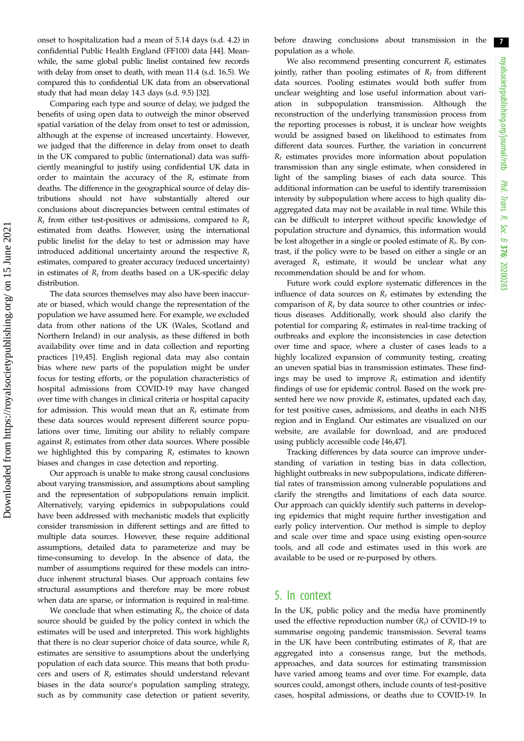7

onset to hospitalization had a mean of 5.14 days (s.d. 4.2) in confidential Public Health England (FF100) data [[44\]](#page-9-0). Meanwhile, the same global public linelist contained few records with delay from onset to death, with mean 11.4 (s.d. 16.5). We compared this to confidential UK data from an observational study that had mean delay 14.3 days (s.d. 9.5) [\[32](#page-8-0)].

Comparing each type and source of delay, we judged the benefits of using open data to outweigh the minor observed spatial variation of the delay from onset to test or admission, although at the expense of increased uncertainty. However, we judged that the difference in delay from onset to death in the UK compared to public (international) data was sufficiently meaningful to justify using confidential UK data in order to maintain the accuracy of the  $R_t$  estimate from deaths. The difference in the geographical source of delay distributions should not have substantially altered our conclusions about discrepancies between central estimates of  $R_t$  from either test-positives or admissions, compared to  $R_t$ estimated from deaths. However, using the international public linelist for the delay to test or admission may have introduced additional uncertainty around the respective  $R_t$ estimates, compared to greater accuracy (reduced uncertainty) in estimates of  $R_t$  from deaths based on a UK-specific delay distribution.

The data sources themselves may also have been inaccurate or biased, which would change the representation of the population we have assumed here. For example, we excluded data from other nations of the UK (Wales, Scotland and Northern Ireland) in our analysis, as these differed in both availability over time and in data collection and reporting practices [\[19](#page-8-0)[,45](#page-9-0)]. English regional data may also contain bias where new parts of the population might be under focus for testing efforts, or the population characteristics of hospital admissions from COVID-19 may have changed over time with changes in clinical criteria or hospital capacity for admission. This would mean that an  $R_t$  estimate from these data sources would represent different source populations over time, limiting our ability to reliably compare against  $R_t$  estimates from other data sources. Where possible we highlighted this by comparing  $R_t$  estimates to known biases and changes in case detection and reporting.

Our approach is unable to make strong causal conclusions about varying transmission, and assumptions about sampling and the representation of subpopulations remain implicit. Alternatively, varying epidemics in subpopulations could have been addressed with mechanistic models that explicitly consider transmission in different settings and are fitted to multiple data sources. However, these require additional assumptions, detailed data to parameterize and may be time-consuming to develop. In the absence of data, the number of assumptions required for these models can introduce inherent structural biases. Our approach contains few structural assumptions and therefore may be more robust when data are sparse, or information is required in real-time.

We conclude that when estimating  $R_t$ , the choice of data source should be guided by the policy context in which the estimates will be used and interpreted. This work highlights that there is no clear superior choice of data source, while  $R_t$ estimates are sensitive to assumptions about the underlying population of each data source. This means that both producers and users of  $R_t$  estimates should understand relevant biases in the data source's population sampling strategy, such as by community case detection or patient severity, before drawing conclusions about transmission in the population as a whole.

We also recommend presenting concurrent  $R_t$  estimates jointly, rather than pooling estimates of  $R_t$  from different data sources. Pooling estimates would both suffer from unclear weighting and lose useful information about variation in subpopulation transmission. Although the reconstruction of the underlying transmission process from the reporting processes is robust, it is unclear how weights would be assigned based on likelihood to estimates from different data sources. Further, the variation in concurrent  $R_t$  estimates provides more information about population transmission than any single estimate, when considered in light of the sampling biases of each data source. This additional information can be useful to identify transmission intensity by subpopulation where access to high quality disaggregated data may not be available in real time. While this can be difficult to interpret without specific knowledge of population structure and dynamics, this information would be lost altogether in a single or pooled estimate of  $R_t$ . By contrast, if the policy were to be based on either a single or an averaged  $R_t$  estimate, it would be unclear what any recommendation should be and for whom.

Future work could explore systematic differences in the influence of data sources on  $R_t$  estimates by extending the comparison of  $R_t$  by data source to other countries or infectious diseases. Additionally, work should also clarify the potential for comparing  $R_t$  estimates in real-time tracking of outbreaks and explore the inconsistencies in case detection over time and space, where a cluster of cases leads to a highly localized expansion of community testing, creating an uneven spatial bias in transmission estimates. These findings may be used to improve  $R_t$  estimation and identify findings of use for epidemic control. Based on the work presented here we now provide  $R_t$  estimates, updated each day, for test positive cases, admissions, and deaths in each NHS region and in England. Our estimates are visualized on our website, are available for download, and are produced using publicly accessible code [[46,47](#page-9-0)].

Tracking differences by data source can improve understanding of variation in testing bias in data collection, highlight outbreaks in new subpopulations, indicate differential rates of transmission among vulnerable populations and clarify the strengths and limitations of each data source. Our approach can quickly identify such patterns in developing epidemics that might require further investigation and early policy intervention. Our method is simple to deploy and scale over time and space using existing open-source tools, and all code and estimates used in this work are available to be used or re-purposed by others.

## 5. In context

In the UK, public policy and the media have prominently used the effective reproduction number  $(R_t)$  of COVID-19 to summarise ongoing pandemic transmission. Several teams in the UK have been contributing estimates of  $R_t$  that are aggregated into a consensus range, but the methods, approaches, and data sources for estimating transmission have varied among teams and over time. For example, data sources could, amongst others, include counts of test-positive cases, hospital admissions, or deaths due to COVID-19. In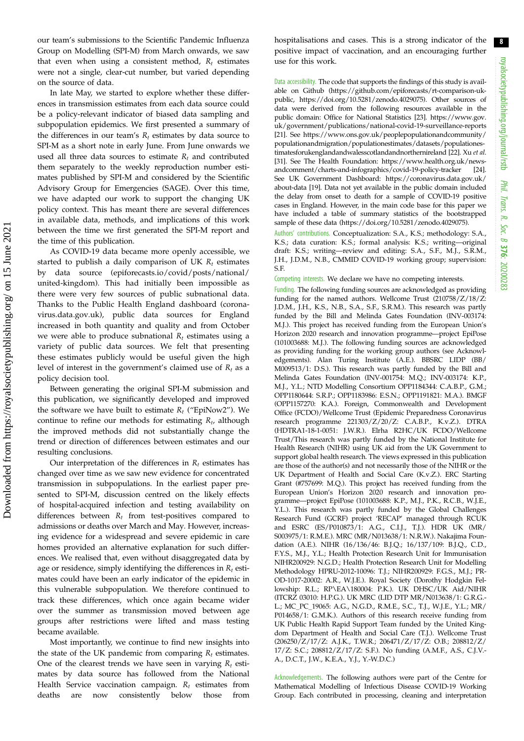our team's submissions to the Scientific Pandemic Influenza Group on Modelling (SPI-M) from March onwards, we saw that even when using a consistent method,  $R_t$  estimates were not a single, clear-cut number, but varied depending on the source of data.

In late May, we started to explore whether these differences in transmission estimates from each data source could be a policy-relevant indicator of biased data sampling and subpopulation epidemics. We first presented a summary of the differences in our team's  $R_t$  estimates by data source to SPI-M as a short note in early June. From June onwards we used all three data sources to estimate  $R_t$  and contributed them separately to the weekly reproduction number estimates published by SPI-M and considered by the Scientific Advisory Group for Emergencies (SAGE). Over this time, we have adapted our work to support the changing UK policy context. This has meant there are several differences in available data, methods, and implications of this work between the time we first generated the SPI-M report and the time of this publication.

As COVID-19 data became more openly accessible, we started to publish a daily comparison of UK  $R_t$  estimates by data source ([epiforecasts.io/covid/posts/national/](https://epiforecasts.io/covid/posts/national/united-kingdom) [united-kingdom](https://epiforecasts.io/covid/posts/national/united-kingdom)). This had initially been impossible as there were very few sources of public subnational data. Thanks to the Public Health England dashboard [\(corona](https://coronavirus.data.gov.uk)[virus.data.gov.uk](https://coronavirus.data.gov.uk)), public data sources for England increased in both quantity and quality and from October we were able to produce subnational  $R_t$  estimates using a variety of public data sources. We felt that presenting these estimates publicly would be useful given the high level of interest in the government's claimed use of  $R_t$  as a policy decision tool.

Between generating the original SPI-M submission and this publication, we significantly developed and improved the software we have built to estimate  $R_t$  ("EpiNow2"). We continue to refine our methods for estimating  $R_t$ , although the improved methods did not substantially change the trend or direction of differences between estimates and our resulting conclusions.

Our interpretation of the differences in  $R_t$  estimates has changed over time as we saw new evidence for concentrated transmission in subpopulations. In the earliest paper presented to SPI-M, discussion centred on the likely effects of hospital-acquired infection and testing availability on differences between  $R_t$  from test-positives compared to admissions or deaths over March and May. However, increasing evidence for a widespread and severe epidemic in care homes provided an alternative explanation for such differences. We realised that, even without disaggregated data by age or residence, simply identifying the differences in  $R_t$  estimates could have been an early indicator of the epidemic in this vulnerable subpopulation. We therefore continued to track these differences, which once again became wider over the summer as transmission moved between age groups after restrictions were lifted and mass testing became available.

Most importantly, we continue to find new insights into the state of the UK pandemic from comparing  $R_t$  estimates. One of the clearest trends we have seen in varying  $R_t$  estimates by data source has followed from the National Health Service vaccination campaign.  $R_t$  estimates from deaths are now consistently below those from hospitalisations and cases. This is a strong indicator of the positive impact of vaccination, and an encouraging further use for this work.

Data accessibility. The code that supports the findings of this study is available on Github ([https://github.com/epiforecasts/rt-comparison-uk](https://github.com/epiforecasts/rt-comparison-uk-public)[public](https://github.com/epiforecasts/rt-comparison-uk-public), [https://doi.org/10.5281/zenodo.4029075\)](https://doi.org/10.5281/zenodo.4029075). Other sources of data were derived from the following resources available in the public domain: Office for National Statistics [\[23](#page-8-0)]. [https://www.gov.](https://www.gov.uk/government/publications/national-covid-19-surveillance-reports) [uk/government/publications/national-covid-19-surveillance-reports](https://www.gov.uk/government/publications/national-covid-19-surveillance-reports) [\[21](#page-8-0)]. See [https://www.ons.gov.uk/peoplepopulationandcommunity/](https://www.ons.gov.uk/peoplepopulationandcommunity/populationandmigration/populationestimates/datasets/populationestimatesforukenglandandwalesscotlandandnorthernireland) [populationandmigration/populationestimates/datasets/populationes](https://www.ons.gov.uk/peoplepopulationandcommunity/populationandmigration/populationestimates/datasets/populationestimatesforukenglandandwalesscotlandandnorthernireland)[timatesforukenglandandwalesscotlandandnorthernireland](https://www.ons.gov.uk/peoplepopulationandcommunity/populationandmigration/populationestimates/datasets/populationestimatesforukenglandandwalesscotlandandnorthernireland) [\[22\]](#page-8-0). Xu et al. [\[31](#page-8-0)]. See The Health Foundation: [https://www.health.org.uk/news](https://www.health.org.uk/news-andcomment/charts-and-infographics/covid-19-policy-tracker)[andcomment/charts-and-infographics/covid-19-policy-tracker](https://www.health.org.uk/news-andcomment/charts-and-infographics/covid-19-policy-tracker) [[24](#page-8-0)]. See UK Government Dashboard: [https://coronavirus.data.gov.uk/](https://coronavirus.data.gov.uk/about-data) [about-data](https://coronavirus.data.gov.uk/about-data) [[19](#page-8-0)]. Data not yet available in the public domain included the delay from onset to death for a sample of COVID-19 positive cases in England. However, in the main code base for this paper we have included a table of summary statistics of the bootstrapped sample of these data [\(https://doi.org/10.5281/zenodo.4029075\)](https://doi.org/10.5281/zenodo.4029075).

Authors' contributions. Conceptualization: S.A., K.S.; methodology: S.A., K.S.; data curation: K.S.; formal analysis: K.S.; writing—original draft: K.S.; writing—review and editing: S.A., S.F., M.J., S.R.M., J.H., J.D.M., N.B., CMMID COVID-19 working group; supervision: S.F.

Competing interests. We declare we have no competing interests.

Funding. The following funding sources are acknowledged as providing funding for the named authors. Wellcome Trust (210758/Z/18/Z: J.D.M., J.H., K.S., N.B., S.A., S.F., S.R.M.). This research was partly funded by the Bill and Melinda Gates Foundation (INV-003174: M.J.). This project has received funding from the European Union's Horizon 2020 research and innovation programme—project EpiPose (101003688: M.J.). The following funding sources are acknowledged as providing funding for the working group authors (see Acknowledgements). Alan Turing Institute (A.E.). BBSRC LIDP (BB/ M009513/1: D.S.). This research was partly funded by the Bill and Melinda Gates Foundation (INV-001754: M.Q.; INV-003174: K.P., M.J., Y.L.; NTD Modelling Consortium OPP1184344: C.A.B.P., G.M.; OPP1180644: S.R.P.; OPP1183986: E.S.N.; OPP1191821: M.A.). BMGF (OPP1157270: K.A.). Foreign, Commonwealth and Development Office (FCDO)/Wellcome Trust (Epidemic Preparedness Coronavirus research programme 221303/Z/20/Z: C.A.B.P., K.v.Z.). DTRA (HDTRA1-18-1-0051: J.W.R.). Elrha R2HC/UK FCDO/Wellcome Trust/This research was partly funded by the National Institute for Health Research (NIHR) using UK aid from the UK Government to support global health research. The views expressed in this publication are those of the author(s) and not necessarily those of the NIHR or the UK Department of Health and Social Care (K.v.Z.). ERC Starting Grant (#757699: M.Q.). This project has received funding from the European Union's Horizon 2020 research and innovation programme—project EpiPose (101003688: K.P., M.J., P.K., R.C.B., W.J.E., Y.L.). This research was partly funded by the Global Challenges Research Fund (GCRF) project 'RECAP' managed through RCUK and ESRC (ES/P010873/1: A.G., C.I.J., T.J.). HDR UK (MR/ S003975/1: R.M.E.). MRC (MR/N013638/1: N.R.W.). Nakajima Foundation (A.E.). NIHR (16/136/46: B.J.Q.; 16/137/109: B.J.Q., C.D., F.Y.S., M.J., Y.L.; Health Protection Research Unit for Immunisation NIHR200929: N.G.D.; Health Protection Research Unit for Modelling Methodology HPRU-2012-10096: T.J.; NIHR200929: F.G.S., M.J.; PR-OD-1017-20002: A.R., W.J.E.). Royal Society (Dorothy Hodgkin Fellowship: R.L.; RP\EA\180004: P.K.). UK DHSC/UK Aid/NIHR (ITCRZ 03010: H.P.G.). UK MRC (LID DTP MR/N013638/1: G.R.G.- L.; MC\_PC\_19065: A.G., N.G.D., R.M.E., S.C., T.J., W.J.E., Y.L.; MR/ P014658/1: G.M.K.). Authors of this research receive funding from UK Public Health Rapid Support Team funded by the United Kingdom Department of Health and Social Care (T.J.). Wellcome Trust (206250/Z/17/Z: A.J.K., T.W.R.; 206471/Z/17/Z: O.B.; 208812/Z/ 17/Z: S.C.; 208812/Z/17/Z: S.F.). No funding (A.M.F., A.S., C.J.V.- A., D.C.T., J.W., K.E.A., Y.J., Y.-W.D.C.)

Acknowledgements. The following authors were part of the Centre for Mathematical Modelling of Infectious Disease COVID-19 Working Group. Each contributed in processing, cleaning and interpretation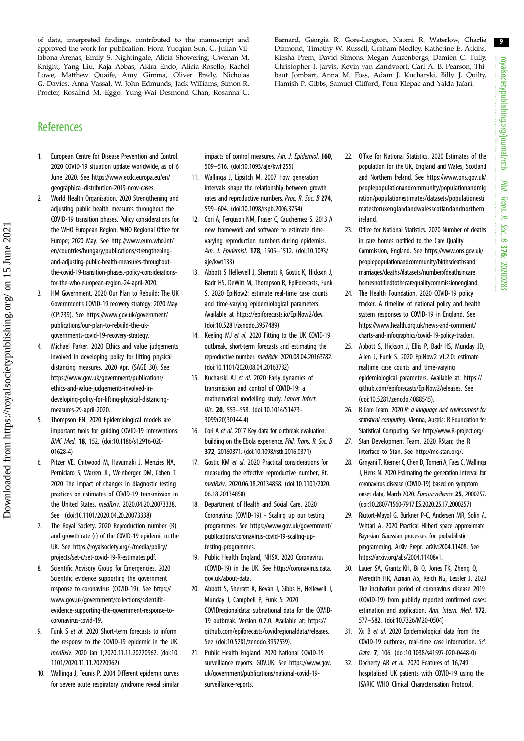<span id="page-8-0"></span>of data, interpreted findings, contributed to the manuscript and approved the work for publication: Fiona Yueqian Sun, C. Julian Villabona-Arenas, Emily S. Nightingale, Alicia Showering, Gwenan M. Knight, Yang Liu, Kaja Abbas, Akira Endo, Alicia Rosello, Rachel Lowe, Matthew Quaife, Amy Gimma, Oliver Brady, Nicholas G. Davies, Anna Vassal, W. John Edmunds, Jack Williams, Simon R. Procter, Rosalind M. Eggo, Yung-Wai Desmond Chan, Rosanna C. Barnard, Georgia R. Gore-Langton, Naomi R. Waterlow, Charlie Diamond, Timothy W. Russell, Graham Medley, Katherine E. Atkins, Kiesha Prem, David Simons, Megan Auzenbergs, Damien C. Tully, Christopher I. Jarvis, Kevin van Zandvoort, Carl A. B. Pearson, Thibaut Jombart, Anna M. Foss, Adam J. Kucharski, Billy J. Quilty, Hamish P. Gibbs, Samuel Clifford, Petra Klepac and Yalda Jafari.

## **References**

- 1. European Centre for Disease Prevention and Control. 2020 COVID-19 situation update worldwide, as of 6 June 2020. See [https://www.ecdc.europa.eu/en/](https://www.ecdc.europa.eu/en/geographical-distribution-2019-ncov-cases) [geographical-distribution-2019-ncov-cases](https://www.ecdc.europa.eu/en/geographical-distribution-2019-ncov-cases).
- 2. World Health Organisation. 2020 Strengthening and adjusting public health measures throughout the COVID-19 transition phases. Policy considerations for the WHO European Region. WHO Regional Office for Europe; 2020 May. See [http://www.euro.who.int/](http://www.euro.who.int/en/countries/hungary/publications/strengthening-and-adjusting-public-health-measures-throughout-the-covid-19-transition-phases.-policy-considerations-for-the-who-european-region,-24-april-2020) [en/countries/hungary/publications/strengthening](http://www.euro.who.int/en/countries/hungary/publications/strengthening-and-adjusting-public-health-measures-throughout-the-covid-19-transition-phases.-policy-considerations-for-the-who-european-region,-24-april-2020)[and-adjusting-public-health-measures-throughout](http://www.euro.who.int/en/countries/hungary/publications/strengthening-and-adjusting-public-health-measures-throughout-the-covid-19-transition-phases.-policy-considerations-for-the-who-european-region,-24-april-2020)[the-covid-19-transition-phases.-policy-considerations](http://www.euro.who.int/en/countries/hungary/publications/strengthening-and-adjusting-public-health-measures-throughout-the-covid-19-transition-phases.-policy-considerations-for-the-who-european-region,-24-april-2020)[for-the-who-european-region,-24-april-2020](http://www.euro.who.int/en/countries/hungary/publications/strengthening-and-adjusting-public-health-measures-throughout-the-covid-19-transition-phases.-policy-considerations-for-the-who-european-region,-24-april-2020).
- 3. HM Government. 2020 Our Plan to Rebuild: The UK Government's COVID-19 recovery strategy. 2020 May. (CP:239). See [https://www.gov.uk/government/](https://www.gov.uk/government/publications/our-plan-to-rebuild-the-uk-governments-covid-19-recovery-strategy) [publications/our-plan-to-rebuild-the-uk](https://www.gov.uk/government/publications/our-plan-to-rebuild-the-uk-governments-covid-19-recovery-strategy)[governments-covid-19-recovery-strategy.](https://www.gov.uk/government/publications/our-plan-to-rebuild-the-uk-governments-covid-19-recovery-strategy)
- 4. Michael Parker. 2020 Ethics and value judgements involved in developing policy for lifting physical distancing measures. 2020 Apr. (SAGE 30). See [https://www.gov.uk/government/publications/](https://www.gov.uk/government/publications/ethics-and-value-judgements-involved-in-developing-policy-for-lifting-physical-distancing-measures-29-april-2020) [ethics-and-value-judgements-involved-in](https://www.gov.uk/government/publications/ethics-and-value-judgements-involved-in-developing-policy-for-lifting-physical-distancing-measures-29-april-2020)[developing-policy-for-lifting-physical-distancing](https://www.gov.uk/government/publications/ethics-and-value-judgements-involved-in-developing-policy-for-lifting-physical-distancing-measures-29-april-2020)[measures-29-april-2020](https://www.gov.uk/government/publications/ethics-and-value-judgements-involved-in-developing-policy-for-lifting-physical-distancing-measures-29-april-2020).
- 5. Thompson RN. 2020 Epidemiological models are important tools for guiding COVID-19 interventions. BMC Med. 18, 152. [\(doi:10.1186/s12916-020-](http://dx.doi.org/10.1186/s12916-020-01628-4) [01628-4](http://dx.doi.org/10.1186/s12916-020-01628-4))
- 6. Pitzer VE, Chitwood M, Havumaki J, Menzies NA, Perniciaro S, Warren JL, Weinberger DM, Cohen T. 2020 The impact of changes in diagnostic testing practices on estimates of COVID-19 transmission in the United States. medRxiv. 2020.04.20.20073338. See ([doi:10.1101/2020.04.20.20073338\)](http://dx.doi.org/10.1101/2020.04.20.20073338)
- 7. The Royal Society. 2020 Reproduction number (R) and growth rate (r) of the COVID-19 epidemic in the UK. See [https://royalsociety.org/-/media/policy/](https://royalsociety.org/-/media/policy/projects/set-c/set-covid-19-R-estimates.pdf) [projects/set-c/set-covid-19-R-estimates.pdf.](https://royalsociety.org/-/media/policy/projects/set-c/set-covid-19-R-estimates.pdf)
- 8. Scientific Advisory Group for Emergencies. 2020 Scientific evidence supporting the government response to coronavirus (COVID-19). See [https://](https://www.gov.uk/government/collections/scientific-evidence-supporting-the-government-response-to-coronavirus-covid-19) [www.gov.uk/government/collections/scientific](https://www.gov.uk/government/collections/scientific-evidence-supporting-the-government-response-to-coronavirus-covid-19)[evidence-supporting-the-government-response-to](https://www.gov.uk/government/collections/scientific-evidence-supporting-the-government-response-to-coronavirus-covid-19)[coronavirus-covid-19.](https://www.gov.uk/government/collections/scientific-evidence-supporting-the-government-response-to-coronavirus-covid-19)
- 9. Funk S et al. 2020 Short-term forecasts to inform the response to the COVID-19 epidemic in the UK. medRxiv. 2020 Jan 1;2020.11.11.20220962. ([doi:10.](http://dx.doi.org/10.1101/2020.11.11.20220962) [1101/2020.11.11.20220962](http://dx.doi.org/10.1101/2020.11.11.20220962))
- 10. Wallinga J, Teunis P. 2004 Different epidemic curves for severe acute respiratory syndrome reveal similar

impacts of control measures. Am. J. Epidemiol. 160, 509–516. ([doi:10.1093/aje/kwh255](http://dx.doi.org/10.1093/aje/kwh255))

- 11. Wallinga J, Lipsitch M. 2007 How generation intervals shape the relationship between growth rates and reproductive numbers. Proc. R. Soc. B 274, 599–604. ([doi:10.1098/rspb.2006.3754](http://dx.doi.org/10.1098/rspb.2006.3754))
- 12. Cori A, Ferguson NM, Fraser C, Cauchemez S. 2013 A new framework and software to estimate timevarying reproduction numbers during epidemics. Am. J. Epidemiol. 178, 1505–1512. ([doi:10.1093/](http://dx.doi.org/10.1093/aje/kwt133) [aje/kwt133\)](http://dx.doi.org/10.1093/aje/kwt133)
- 13. Abbott S Hellewell J, Sherratt K, Gostic K, Hickson J, Badr HS, DeWitt M, Thompson R, EpiForecasts, Funk S. 2020 EpiNow2: estimate real-time case counts and time-varying epidemiological parameters. Available at<https://epiforecasts.io/EpiNow2/dev>. [\(doi:10.5281/zenodo.3957489\)](http://dx.doi.org/10.5281/zenodo.3957489)
- 14. Keeling MJ et al. 2020 Fitting to the UK COVID-19 outbreak, short-term forecasts and estimating the reproductive number. medRxiv. 2020.08.04.20163782. [\(doi:10.1101/2020.08.04.20163782](http://dx.doi.org/10.1101/2020.08.04.20163782))
- 15. Kucharski AJ et al. 2020 Early dynamics of transmission and control of COVID-19: a mathematical modelling study. Lancet Infect. Dis. 20, 553–558. [\(doi:10.1016/S1473-](http://dx.doi.org/10.1016/S1473-3099(20)30144-4) [3099\(20\)30144-4](http://dx.doi.org/10.1016/S1473-3099(20)30144-4))
- 16. Cori A et al. 2017 Key data for outbreak evaluation: building on the Ebola experience. Phil. Trans. R. Soc. B 372, 20160371. ([doi:10.1098/rstb.2016.0371](http://dx.doi.org/10.1098/rstb.2016.0371))
- 17. Gostic KM et al. 2020 Practical considerations for measuring the effective reproductive number, Rt. medRxiv. 2020.06.18.20134858. [\(doi:10.1101/2020.](http://dx.doi.org/10.1101/2020.06.18.20134858) [06.18.20134858\)](http://dx.doi.org/10.1101/2020.06.18.20134858)
- 18. Department of Health and Social Care. 2020 Coronavirus (COVID-19) - Scaling up our testing programmes. See [https://www.gov.uk/government/](https://www.gov.uk/government/publications/coronavirus-covid-19-scaling-up-testing-programmes) [publications/coronavirus-covid-19-scaling-up](https://www.gov.uk/government/publications/coronavirus-covid-19-scaling-up-testing-programmes)[testing-programmes](https://www.gov.uk/government/publications/coronavirus-covid-19-scaling-up-testing-programmes).
- 19. Public Health England, NHSX. 2020 Coronavirus (COVID-19) in the UK. See [https://coronavirus.data.](https://coronavirus.data.gov.uk/about-data) [gov.uk/about-data.](https://coronavirus.data.gov.uk/about-data)
- 20. Abbott S, Sherratt K, Bevan J, Gibbs H, Hellewell J, Munday J, Campbell P, Funk S. 2020 COVIDregionaldata: subnational data for the COVID-19 outbreak. Version 0.7.0. Available at: [https://](https://github.com/epiforecasts/covidregionaldata/releases) [github.com/epiforecasts/covidregionaldata/releases.](https://github.com/epiforecasts/covidregionaldata/releases) See ([doi:10.5281/zenodo.3957539](http://dx.doi.org/10.5281/zenodo.3957539)).
- 21. Public Health England. 2020 National COVID-19 surveillance reports. GOV.UK. See [https://www.gov.](https://www.gov.uk/government/publications/national-covid-19-surveillance-reports) [uk/government/publications/national-covid-19](https://www.gov.uk/government/publications/national-covid-19-surveillance-reports) [surveillance-reports](https://www.gov.uk/government/publications/national-covid-19-surveillance-reports).
- 22. Office for National Statistics. 2020 Estimates of the population for the UK, England and Wales, Scotland and Northern Ireland. See [https://www.ons.gov.uk/](https://www.ons.gov.uk/peoplepopulationandcommunity/populationandmigration/populationestimates/datasets/populationestimatesforukenglandandwalesscotlandandnorthernireland) [peoplepopulationandcommunity/populationandmig](https://www.ons.gov.uk/peoplepopulationandcommunity/populationandmigration/populationestimates/datasets/populationestimatesforukenglandandwalesscotlandandnorthernireland) [ration/populationestimates/datasets/populationesti](https://www.ons.gov.uk/peoplepopulationandcommunity/populationandmigration/populationestimates/datasets/populationestimatesforukenglandandwalesscotlandandnorthernireland) [matesforukenglandandwalesscotlandandnorthern](https://www.ons.gov.uk/peoplepopulationandcommunity/populationandmigration/populationestimates/datasets/populationestimatesforukenglandandwalesscotlandandnorthernireland) [ireland.](https://www.ons.gov.uk/peoplepopulationandcommunity/populationandmigration/populationestimates/datasets/populationestimatesforukenglandandwalesscotlandandnorthernireland)
- 23. Office for National Statistics. 2020 Number of deaths in care homes notified to the Care Quality Commission, England. See [https://www.ons.gov.uk/](https://www.ons.gov.uk/peoplepopulationandcommunity/birthsdeathsandmarriages/deaths/datasets/numberofdeathsincarehomesnotifiedtothecarequalitycommissionengland) [peoplepopulationandcommunity/birthsdeathsand](https://www.ons.gov.uk/peoplepopulationandcommunity/birthsdeathsandmarriages/deaths/datasets/numberofdeathsincarehomesnotifiedtothecarequalitycommissionengland) [marriages/deaths/datasets/numberofdeathsincare](https://www.ons.gov.uk/peoplepopulationandcommunity/birthsdeathsandmarriages/deaths/datasets/numberofdeathsincarehomesnotifiedtothecarequalitycommissionengland) [homesnotifiedtothecarequalitycommissionengland](https://www.ons.gov.uk/peoplepopulationandcommunity/birthsdeathsandmarriages/deaths/datasets/numberofdeathsincarehomesnotifiedtothecarequalitycommissionengland).
- 24. The Health Foundation. 2020 COVID-19 policy tracker. A timeline of national policy and health system responses to COVID-19 in England. See [https://www.health.org.uk/news-and-comment/](https://www.health.org.uk/news-and-comment/charts-and-infographics/covid-19-policy-tracker) [charts-and-infographics/covid-19-policy-tracker.](https://www.health.org.uk/news-and-comment/charts-and-infographics/covid-19-policy-tracker)
- 25. Abbott S, Hickson J, Ellis P, Badr HS, Munday JD, Allen J, Funk S. 2020 EpiNow2 v1.2.0: estimate realtime case counts and time-varying epidemiological parameters. Available at: [https://](https://github.com/epiforecasts/EpiNow2/releases) [github.com/epiforecasts/EpiNow2/releases.](https://github.com/epiforecasts/EpiNow2/releases) See ([doi:10.5281/zenodo.4088545\)](http://dx.doi.org/10.5281/zenodo.4088545).
- 26. R Core Team. 2020 R: a language and environment for statistical computing. Vienna, Austria: R Foundation for Statistical Computing. See<http://www.R-project.org/>.
- 27. Stan Development Team. 2020 RStan: the R interface to Stan. See [http://mc-stan.org/.](http://mc-stan.org/)
- 28. Ganyani T, Kremer C, Chen D, Torneri A, Faes C, Wallinga J, Hens N. 2020 Estimating the generation interval for coronavirus disease (COVID-19) based on symptom onset data, March 2020. Eurosurveillance 25, 2000257. ([doi:10.2807/1560-7917.ES.2020.25.17.2000257](http://dx.doi.org/10.2807/1560-7917.ES.2020.25.17.2000257))
- 29. Riutort-Mayol G, Bürkner P-C, Andersen MR, Solin A, Vehtari A. 2020 Practical Hilbert space approximate Bayesian Gaussian processes for probabilistic programming. ArXiv Prepr. arXiv:2004.11408. See <https://arxiv.org/abs/2004.11408v1>.
- 30. Lauer SA, Grantz KH, Bi Q, Jones FK, Zheng Q, Meredith HR, Azman AS, Reich NG, Lessler J. 2020 The incubation period of coronavirus disease 2019 (COVID-19) from publicly reported confirmed cases: estimation and application. Ann. Intern. Med. 172, 577–582. [\(doi:10.7326/M20-0504\)](http://dx.doi.org/10.7326/M20-0504)
- 31. Xu B et al. 2020 Epidemiological data from the COVID-19 outbreak, real-time case information. Sci. Data. 7, 106. [\(doi:10.1038/s41597-020-0448-0\)](http://dx.doi.org/10.1038/s41597-020-0448-0)
- 32. Docherty AB et al. 2020 Features of 16,749 hospitalised UK patients with COVID-19 using the ISARIC WHO Clinical Characterisation Protocol.